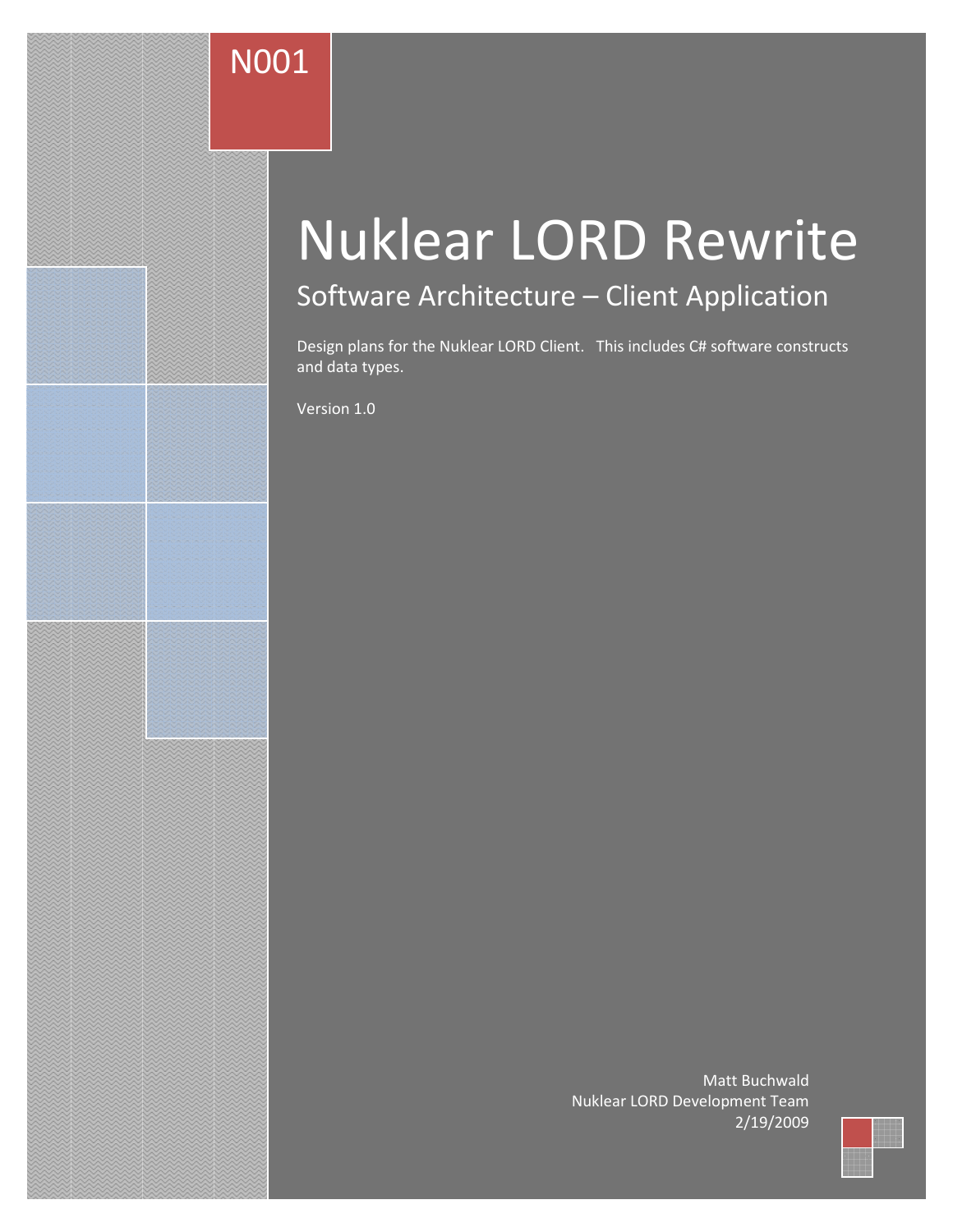# N001

# Nuklear LORD Rewrite

# Software Architecture – Client Application

Design plans for the Nuklear LORD Client. This includes C# software constructs and data types.

Version 1.0

Matt Buchwald Nuklear LORD Development Team 2/19/2009

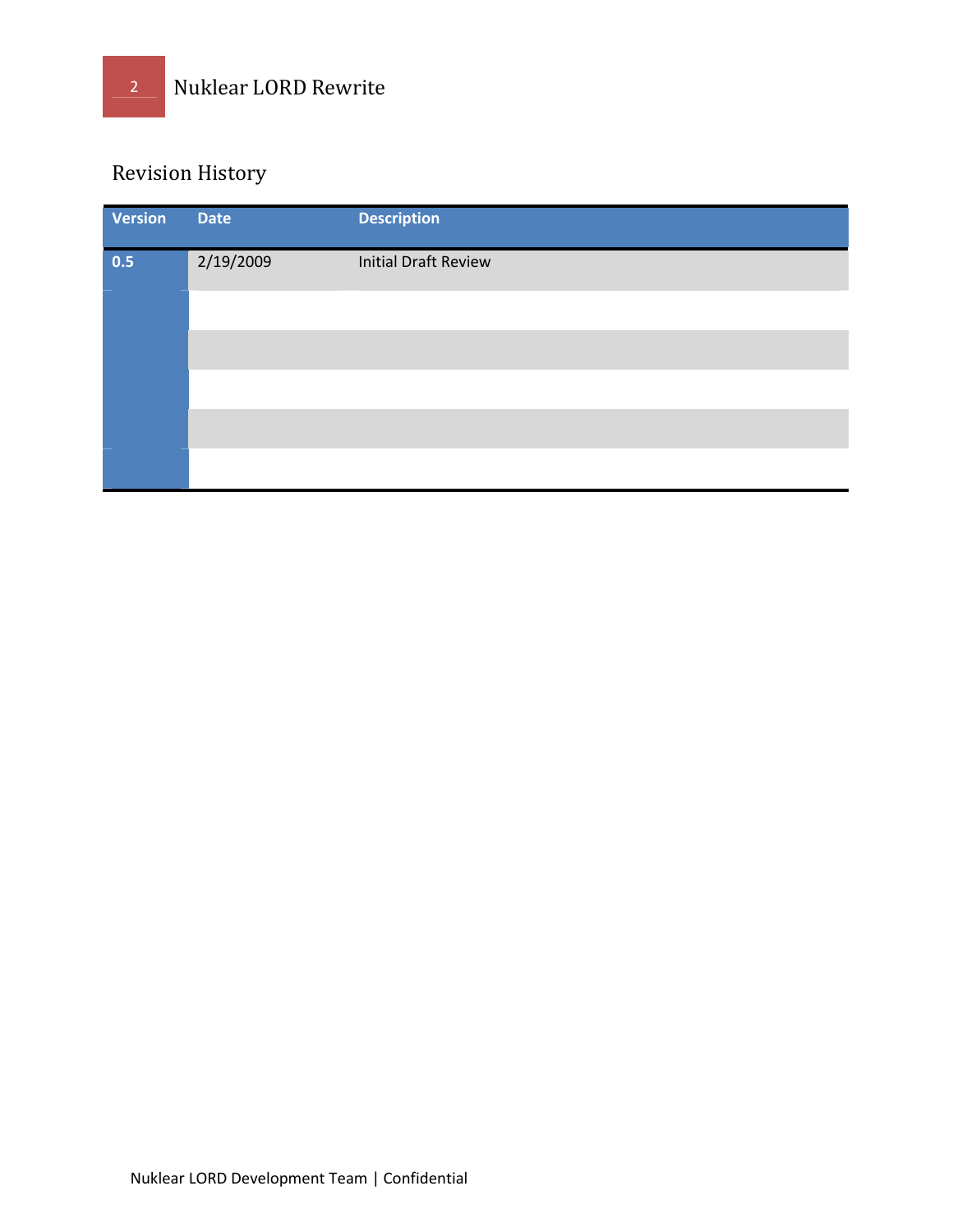## Revision History

| Version | <b>Date</b> | <b>Description</b>          |
|---------|-------------|-----------------------------|
| 0.5     | 2/19/2009   | <b>Initial Draft Review</b> |
|         |             |                             |
|         |             |                             |
|         |             |                             |
|         |             |                             |
|         |             |                             |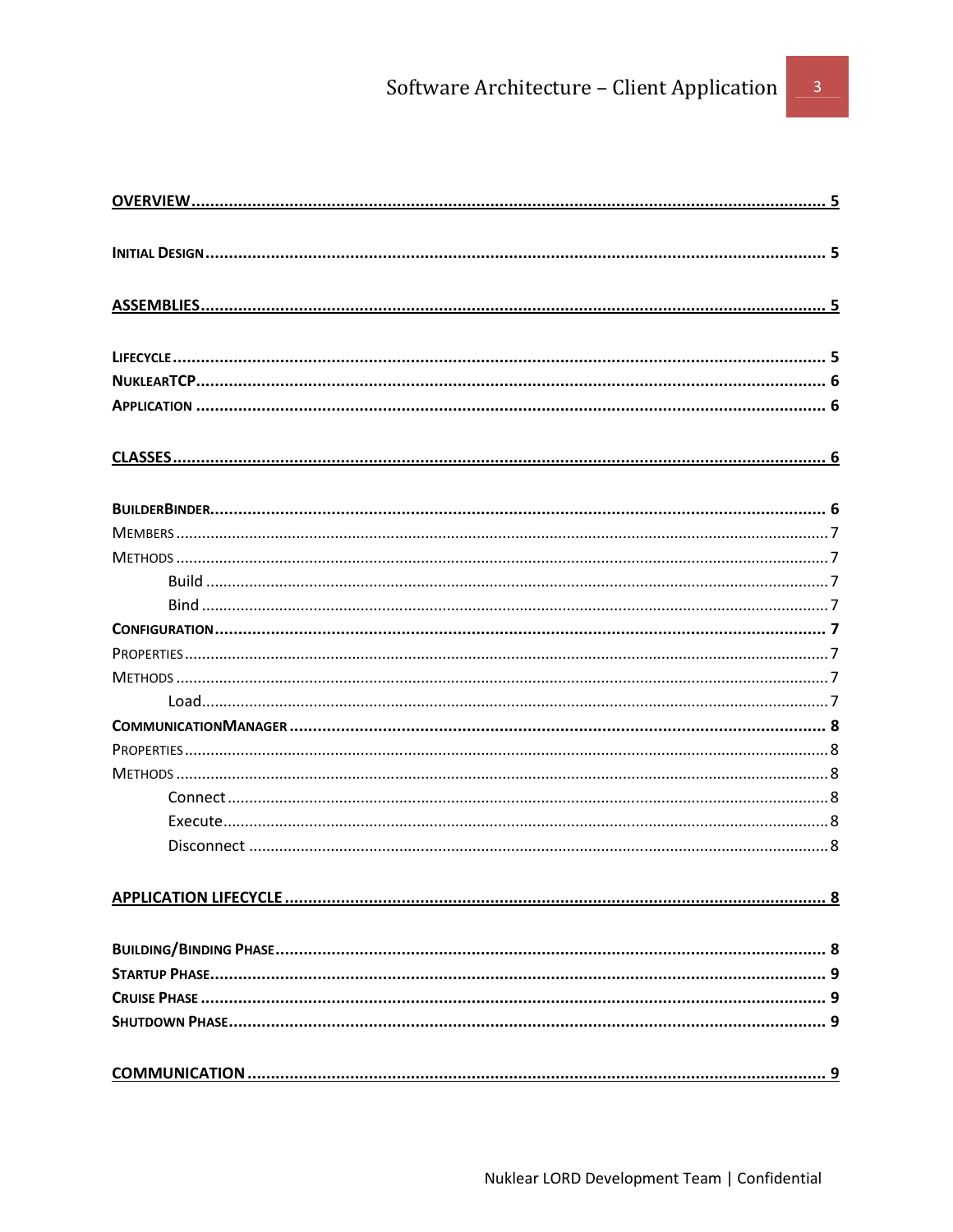## Software Architecture - Client Application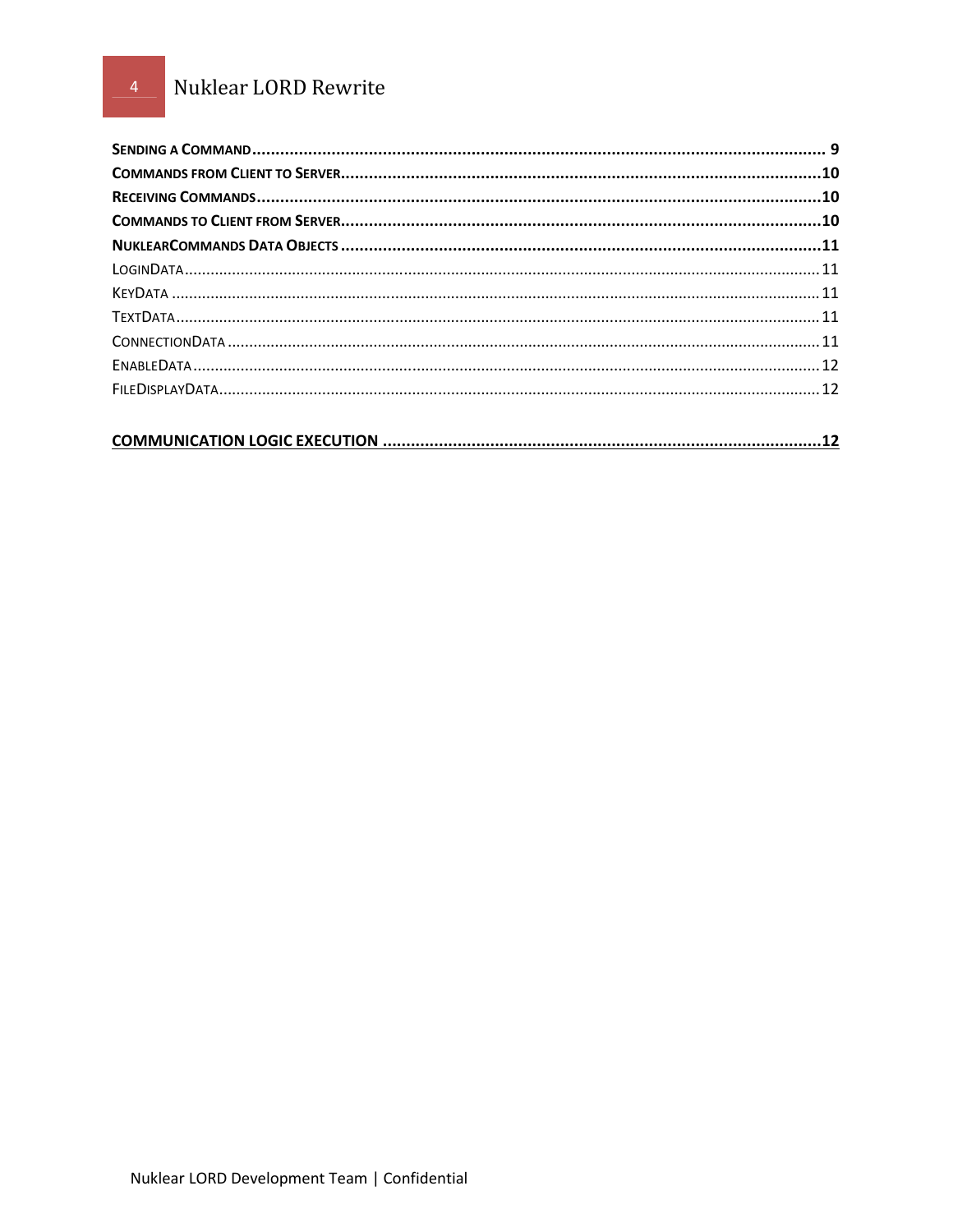## Nuklear LORD Rewrite

|--|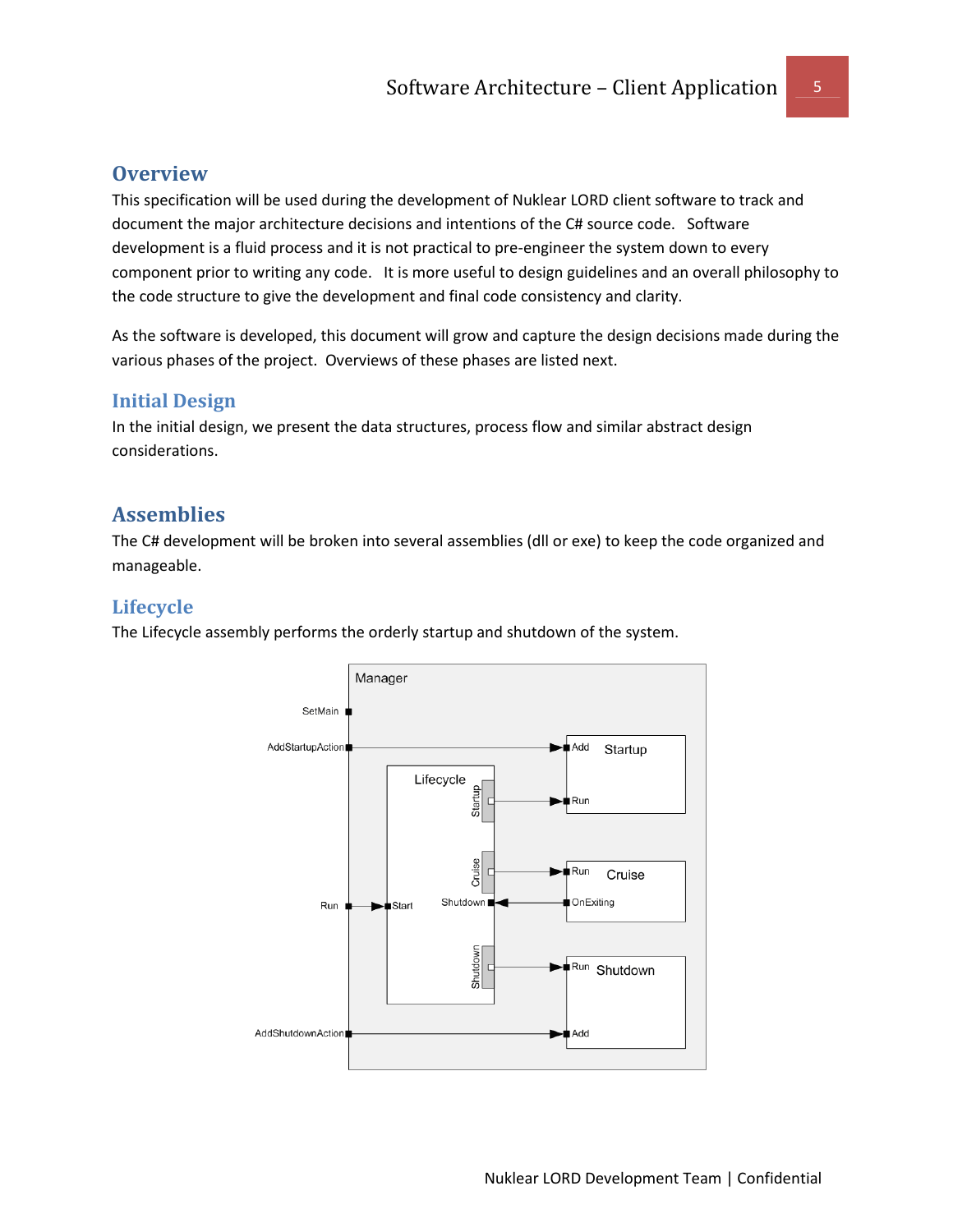## **Overview**

This specification will be used during the development of Nuklear LORD client software to track and document the major architecture decisions and intentions of the C# source code. Software development is a fluid process and it is not practical to pre-engineer the system down to every component prior to writing any code. It is more useful to design guidelines and an overall philosophy to the code structure to give the development and final code consistency and clarity.

As the software is developed, this document will grow and capture the design decisions made during the various phases of the project. Overviews of these phases are listed next.

## Initial Design

In the initial design, we present the data structures, process flow and similar abstract design considerations.

## Assemblies

The C# development will be broken into several assemblies (dll or exe) to keep the code organized and manageable.

## Lifecycle

The Lifecycle assembly performs the orderly startup and shutdown of the system.

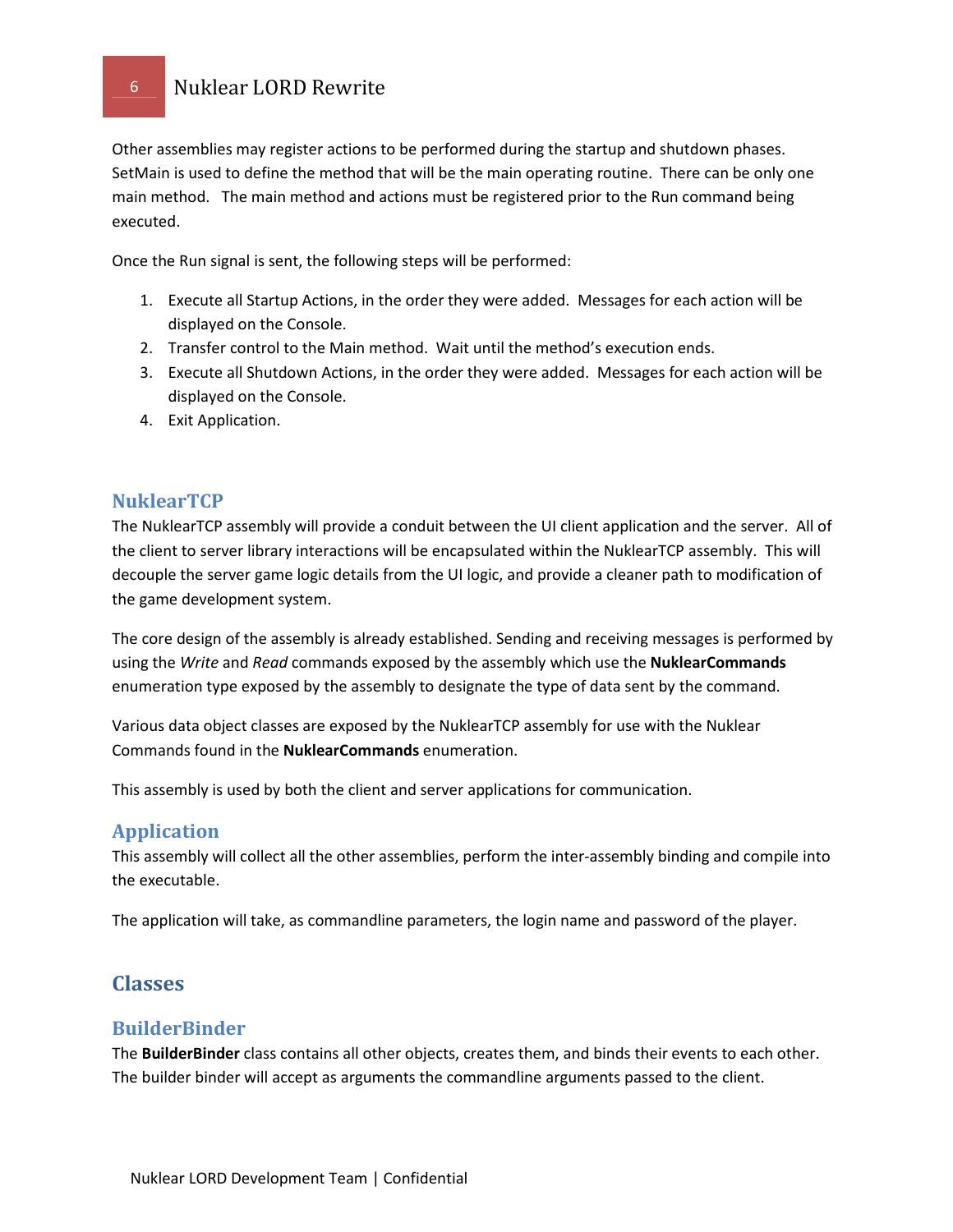## 6 Nuklear LORD Rewrite

Other assemblies may register actions to be performed during the startup and shutdown phases. SetMain is used to define the method that will be the main operating routine. There can be only one main method. The main method and actions must be registered prior to the Run command being executed.

Once the Run signal is sent, the following steps will be performed:

- 1. Execute all Startup Actions, in the order they were added. Messages for each action will be displayed on the Console.
- 2. Transfer control to the Main method. Wait until the method's execution ends.
- 3. Execute all Shutdown Actions, in the order they were added. Messages for each action will be displayed on the Console.
- 4. Exit Application.

## **NuklearTCP**

The NuklearTCP assembly will provide a conduit between the UI client application and the server. All of the client to server library interactions will be encapsulated within the NuklearTCP assembly. This will decouple the server game logic details from the UI logic, and provide a cleaner path to modification of the game development system.

The core design of the assembly is already established. Sending and receiving messages is performed by using the Write and Read commands exposed by the assembly which use the NuklearCommands enumeration type exposed by the assembly to designate the type of data sent by the command.

Various data object classes are exposed by the NuklearTCP assembly for use with the Nuklear Commands found in the NuklearCommands enumeration.

This assembly is used by both the client and server applications for communication.

## Application

This assembly will collect all the other assemblies, perform the inter-assembly binding and compile into the executable.

The application will take, as commandline parameters, the login name and password of the player.

## Classes

## BuilderBinder

The **BuilderBinder** class contains all other objects, creates them, and binds their events to each other. The builder binder will accept as arguments the commandline arguments passed to the client.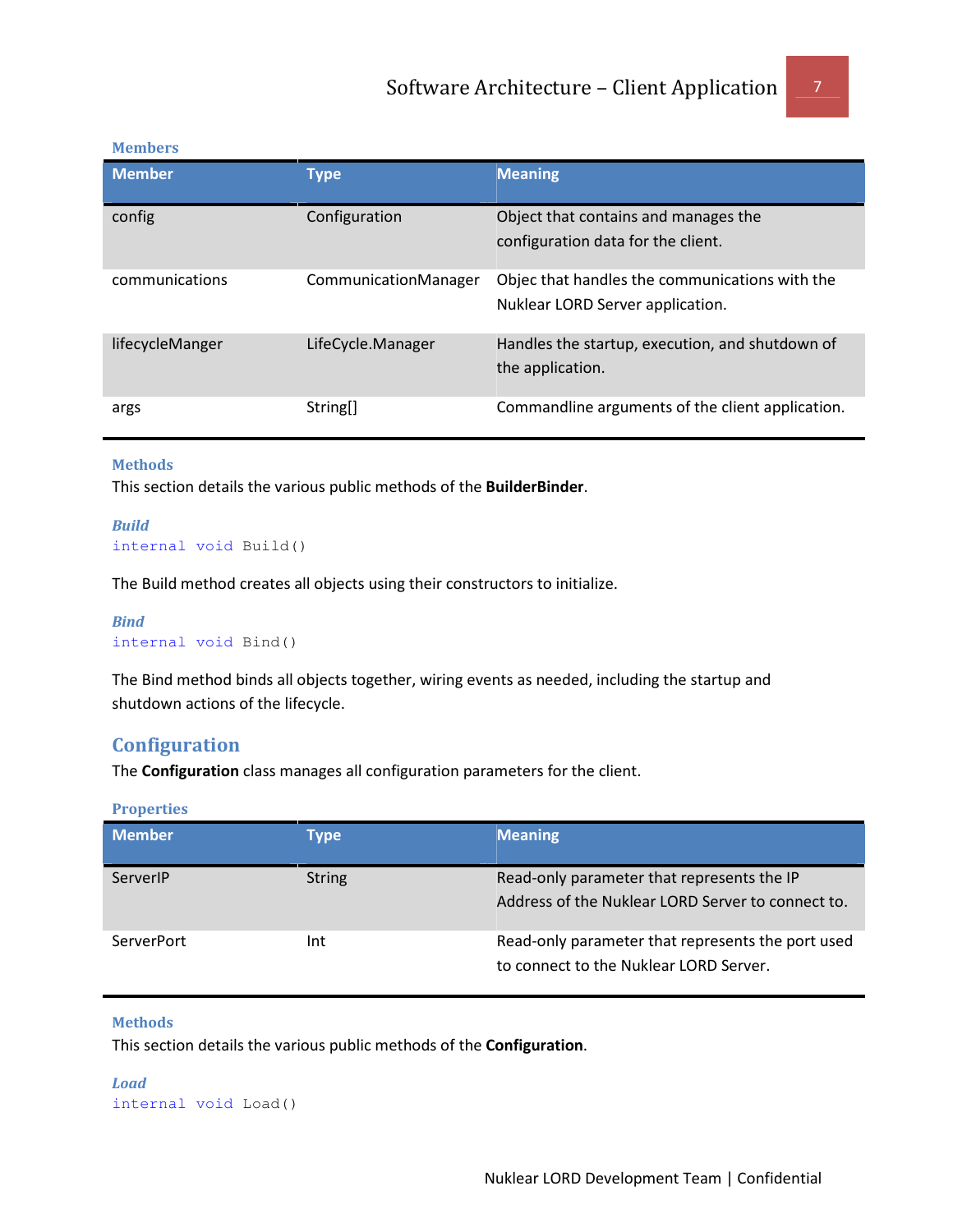#### Members

| <b>Member</b>   | Type                 | <b>Meaning</b>                                                                     |
|-----------------|----------------------|------------------------------------------------------------------------------------|
| config          | Configuration        | Object that contains and manages the<br>configuration data for the client.         |
| communications  | CommunicationManager | Objec that handles the communications with the<br>Nuklear LORD Server application. |
| lifecycleManger | LifeCycle.Manager    | Handles the startup, execution, and shutdown of<br>the application.                |
| args            | String[]             | Commandline arguments of the client application.                                   |

#### Methods

This section details the various public methods of the BuilderBinder.

```
Build 
internal void Build()
```
The Build method creates all objects using their constructors to initialize.

```
Bind 
internal void Bind()
```
The Bind method binds all objects together, wiring events as needed, including the startup and shutdown actions of the lifecycle.

## **Configuration**

The **Configuration** class manages all configuration parameters for the client.

**Properties** 

| <b>Member</b> | Type          | <b>Meaning</b>                                                                                  |
|---------------|---------------|-------------------------------------------------------------------------------------------------|
| ServerIP      | <b>String</b> | Read-only parameter that represents the IP<br>Address of the Nuklear LORD Server to connect to. |
| ServerPort    | Int           | Read-only parameter that represents the port used<br>to connect to the Nuklear LORD Server.     |

#### Methods

This section details the various public methods of the Configuration.

Load internal void Load()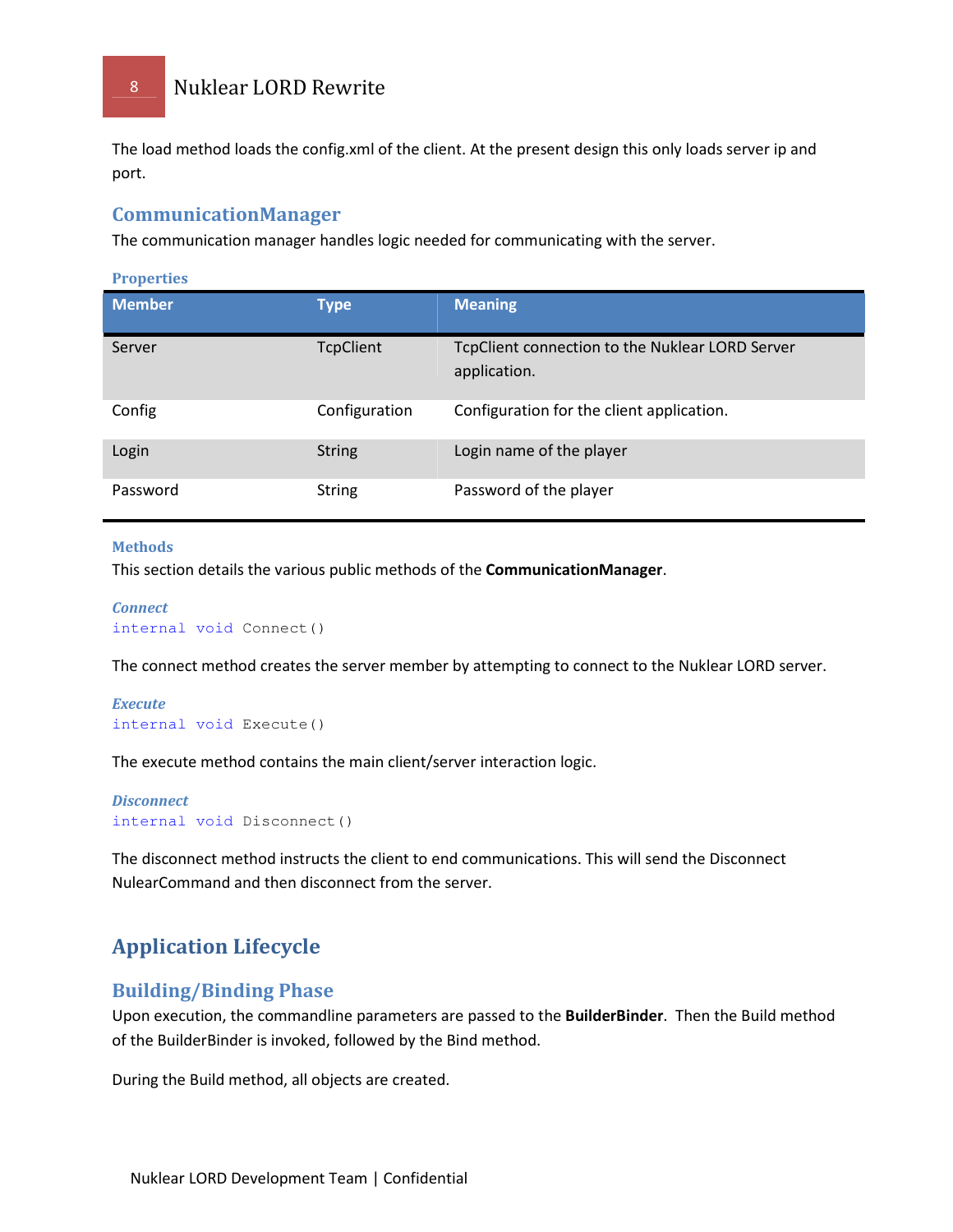8 Nuklear LORD Rewrite

The load method loads the config.xml of the client. At the present design this only loads server ip and port.

## CommunicationManager

The communication manager handles logic needed for communicating with the server.

**Properties** 

| <b>Member</b> | <b>Type</b>      | <b>Meaning</b>                                                  |
|---------------|------------------|-----------------------------------------------------------------|
| Server        | <b>TcpClient</b> | TcpClient connection to the Nuklear LORD Server<br>application. |
| Config        | Configuration    | Configuration for the client application.                       |
| Login         | <b>String</b>    | Login name of the player                                        |
| Password      | <b>String</b>    | Password of the player                                          |

#### Methods

This section details the various public methods of the CommunicationManager.

```
Connect
internal void Connect()
```
The connect method creates the server member by attempting to connect to the Nuklear LORD server.

```
Execute
internal void Execute()
```
The execute method contains the main client/server interaction logic.

```
Disconnect
internal void Disconnect()
```
The disconnect method instructs the client to end communications. This will send the Disconnect NulearCommand and then disconnect from the server.

## Application Lifecycle

## Building/Binding Phase

Upon execution, the commandline parameters are passed to the BuilderBinder. Then the Build method of the BuilderBinder is invoked, followed by the Bind method.

During the Build method, all objects are created.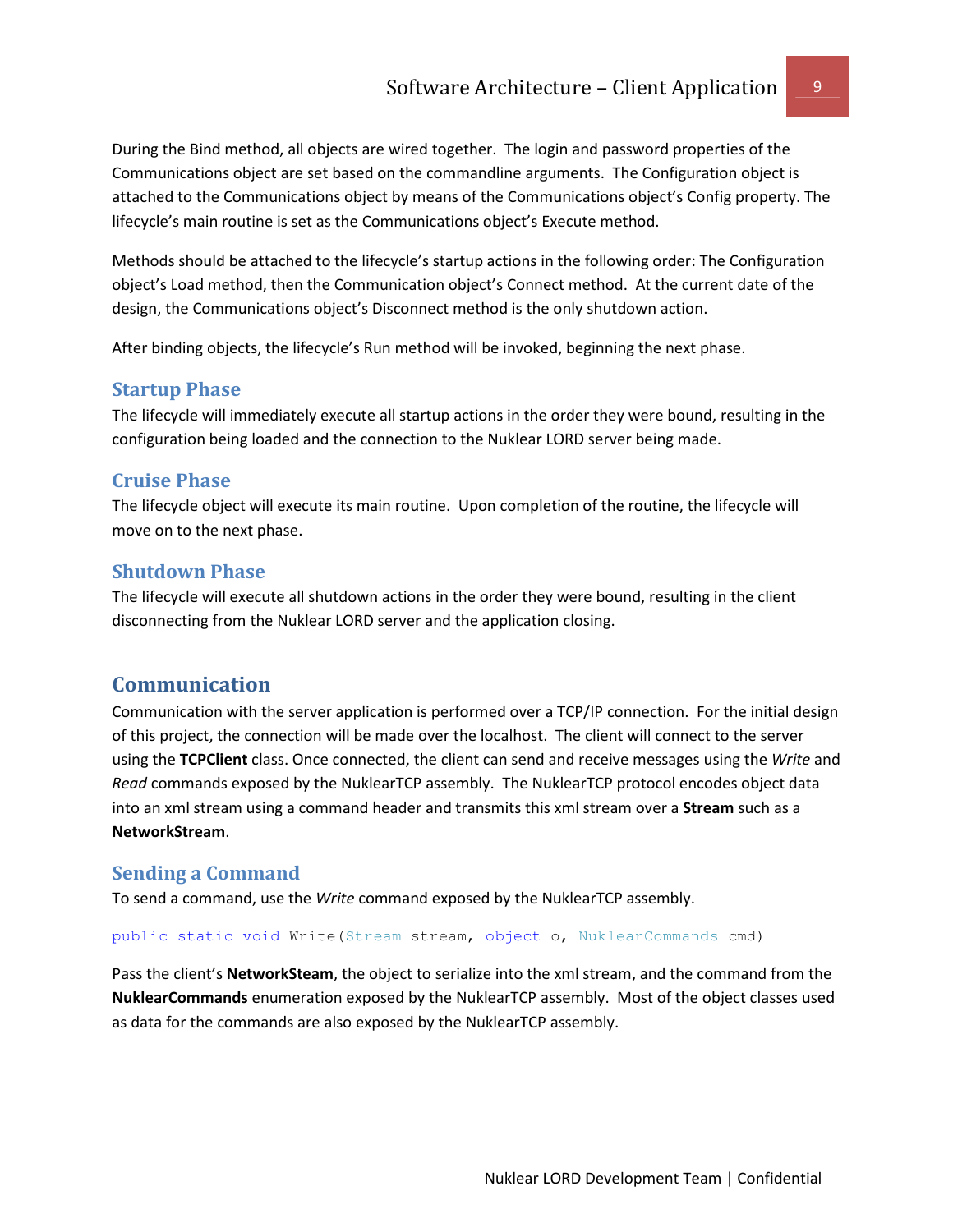During the Bind method, all objects are wired together. The login and password properties of the Communications object are set based on the commandline arguments. The Configuration object is attached to the Communications object by means of the Communications object's Config property. The lifecycle's main routine is set as the Communications object's Execute method.

Methods should be attached to the lifecycle's startup actions in the following order: The Configuration object's Load method, then the Communication object's Connect method. At the current date of the design, the Communications object's Disconnect method is the only shutdown action.

After binding objects, the lifecycle's Run method will be invoked, beginning the next phase.

## Startup Phase

The lifecycle will immediately execute all startup actions in the order they were bound, resulting in the configuration being loaded and the connection to the Nuklear LORD server being made.

## Cruise Phase

The lifecycle object will execute its main routine. Upon completion of the routine, the lifecycle will move on to the next phase.

## Shutdown Phase

The lifecycle will execute all shutdown actions in the order they were bound, resulting in the client disconnecting from the Nuklear LORD server and the application closing.

## Communication

Communication with the server application is performed over a TCP/IP connection. For the initial design of this project, the connection will be made over the localhost. The client will connect to the server using the TCPClient class. Once connected, the client can send and receive messages using the Write and Read commands exposed by the NuklearTCP assembly. The NuklearTCP protocol encodes object data into an xml stream using a command header and transmits this xml stream over a **Stream** such as a NetworkStream.

## Sending a Command

To send a command, use the Write command exposed by the NuklearTCP assembly.

public static void Write(Stream stream, object o, NuklearCommands cmd)

Pass the client's NetworkSteam, the object to serialize into the xml stream, and the command from the NuklearCommands enumeration exposed by the NuklearTCP assembly. Most of the object classes used as data for the commands are also exposed by the NuklearTCP assembly.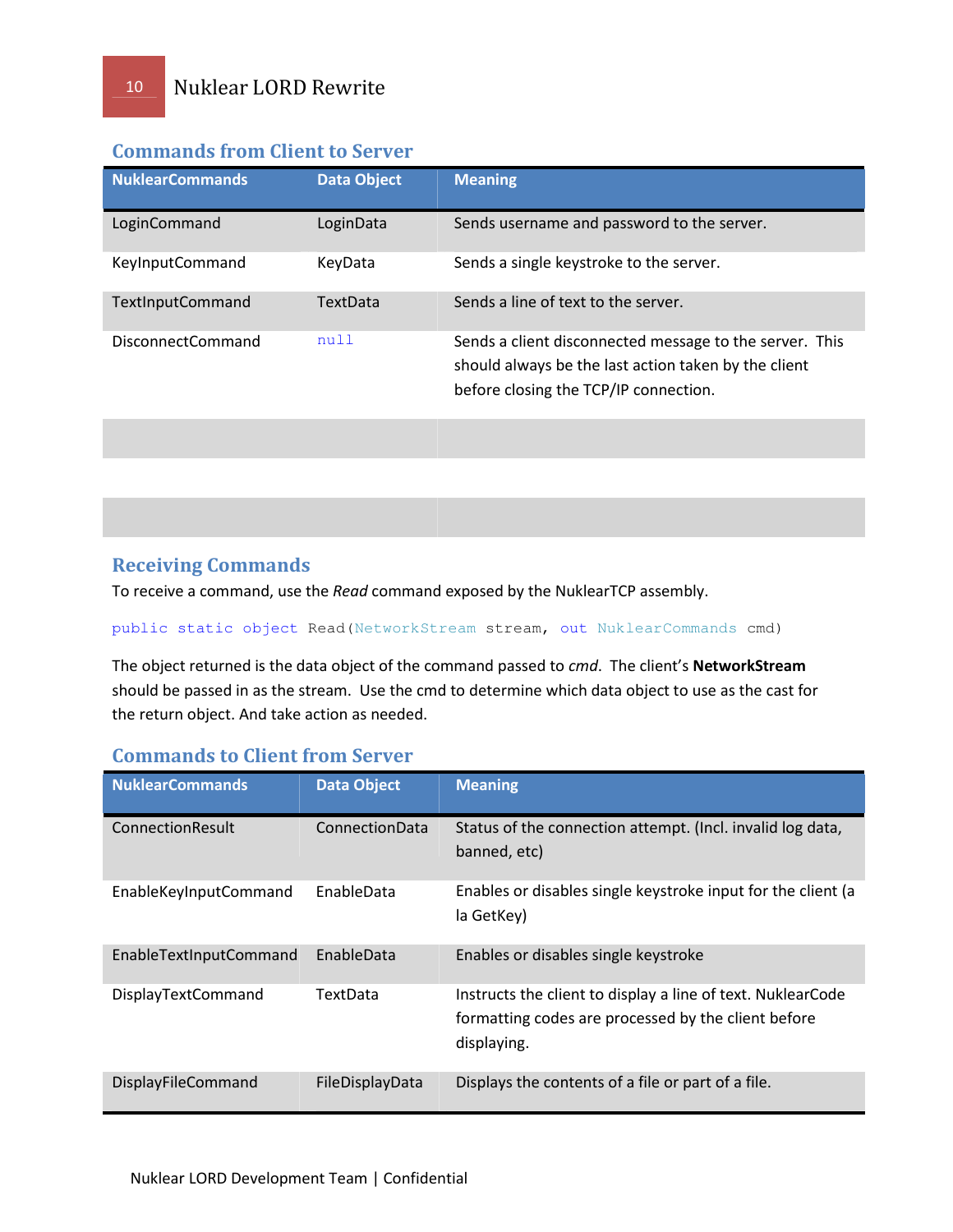| <b>NuklearCommands</b>   | <b>Data Object</b> | <b>Meaning</b>                                                                                                                                           |
|--------------------------|--------------------|----------------------------------------------------------------------------------------------------------------------------------------------------------|
| LoginCommand             | LoginData          | Sends username and password to the server.                                                                                                               |
| KeyInputCommand          | KeyData            | Sends a single keystroke to the server.                                                                                                                  |
| TextInputCommand         | <b>TextData</b>    | Sends a line of text to the server.                                                                                                                      |
| <b>DisconnectCommand</b> | null               | Sends a client disconnected message to the server. This<br>should always be the last action taken by the client<br>before closing the TCP/IP connection. |

## Commands from Client to Server

## Receiving Commands

To receive a command, use the Read command exposed by the NuklearTCP assembly.

#### public static object Read(NetworkStream stream, out NuklearCommands cmd)

The object returned is the data object of the command passed to cmd. The client's NetworkStream should be passed in as the stream. Use the cmd to determine which data object to use as the cast for the return object. And take action as needed.

## Commands to Client from Server

| <b>NuklearCommands</b>    | <b>Data Object</b> | <b>Meaning</b>                                                                                                                    |
|---------------------------|--------------------|-----------------------------------------------------------------------------------------------------------------------------------|
| ConnectionResult          | ConnectionData     | Status of the connection attempt. (Incl. invalid log data,<br>banned, etc)                                                        |
| EnableKeyInputCommand     | EnableData         | Enables or disables single keystroke input for the client (a<br>la GetKey)                                                        |
| EnableTextInputCommand    | EnableData         | Enables or disables single keystroke                                                                                              |
| <b>DisplayTextCommand</b> | TextData           | Instructs the client to display a line of text. NuklearCode<br>formatting codes are processed by the client before<br>displaying. |
| DisplayFileCommand        | FileDisplayData    | Displays the contents of a file or part of a file.                                                                                |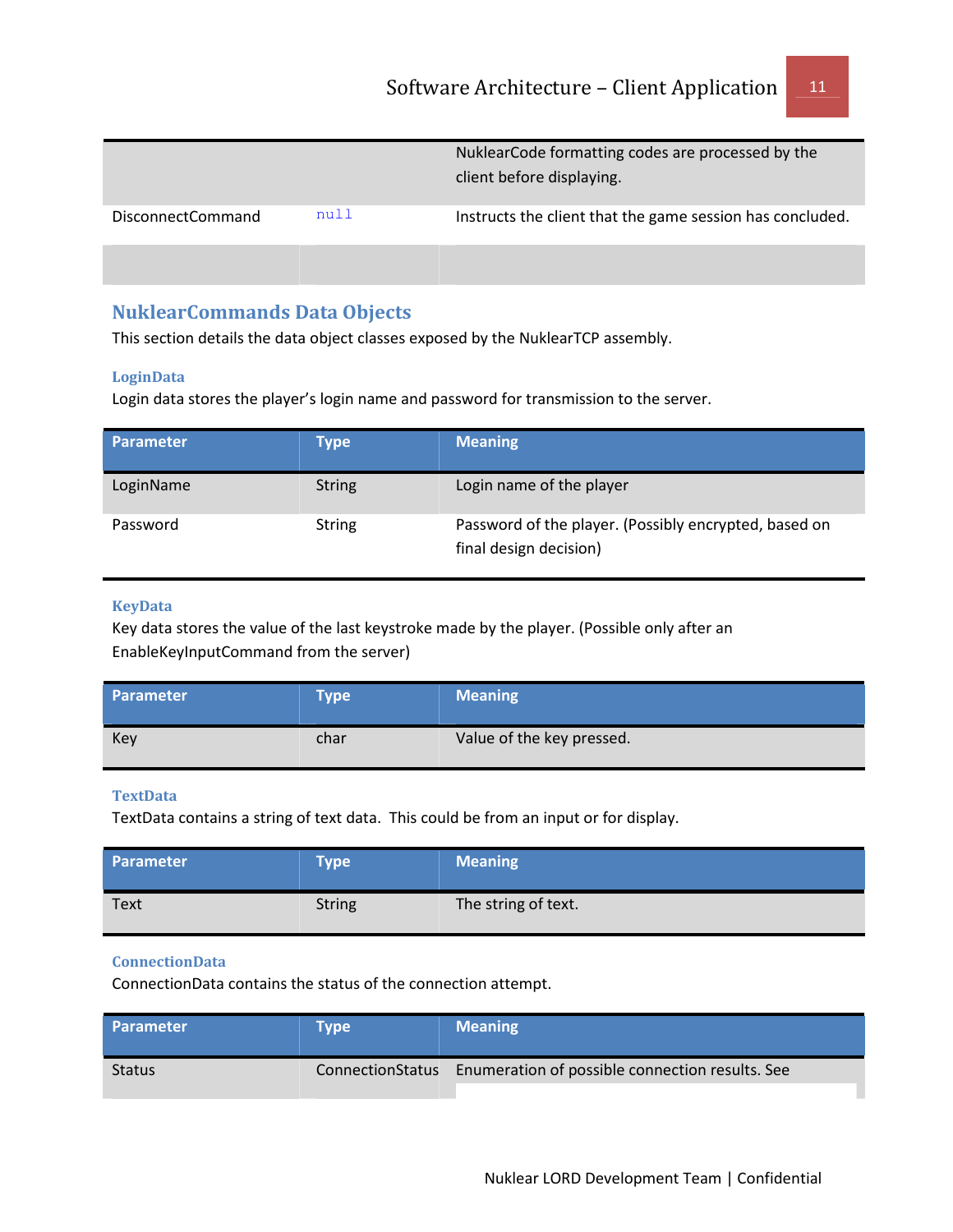|                   |      | NuklearCode formatting codes are processed by the<br>client before displaying. |
|-------------------|------|--------------------------------------------------------------------------------|
| DisconnectCommand | null | Instructs the client that the game session has concluded.                      |
|                   |      |                                                                                |

## NuklearCommands Data Objects

This section details the data object classes exposed by the NuklearTCP assembly.

## LoginData

Login data stores the player's login name and password for transmission to the server.

| <b>Parameter</b> | Type          | <b>Meaning</b>                                                                  |
|------------------|---------------|---------------------------------------------------------------------------------|
| LoginName        | <b>String</b> | Login name of the player                                                        |
| Password         | <b>String</b> | Password of the player. (Possibly encrypted, based on<br>final design decision) |

#### KeyData

Key data stores the value of the last keystroke made by the player. (Possible only after an EnableKeyInputCommand from the server)

| <b>Parameter</b> | <b>Type</b> | <b>Meaning</b>            |
|------------------|-------------|---------------------------|
| Key              | char        | Value of the key pressed. |

#### **TextData**

TextData contains a string of text data. This could be from an input or for display.

| Parameter <sup>1</sup> | <b>Type</b>   | <b>Meaning</b>      |
|------------------------|---------------|---------------------|
| <b>Text</b>            | <b>String</b> | The string of text. |

#### ConnectionData

ConnectionData contains the status of the connection attempt.

| <b>Parameter</b> | Tvpe | <b>Meaning</b>                                                   |
|------------------|------|------------------------------------------------------------------|
| <b>Status</b>    |      | ConnectionStatus Enumeration of possible connection results. See |
|                  |      |                                                                  |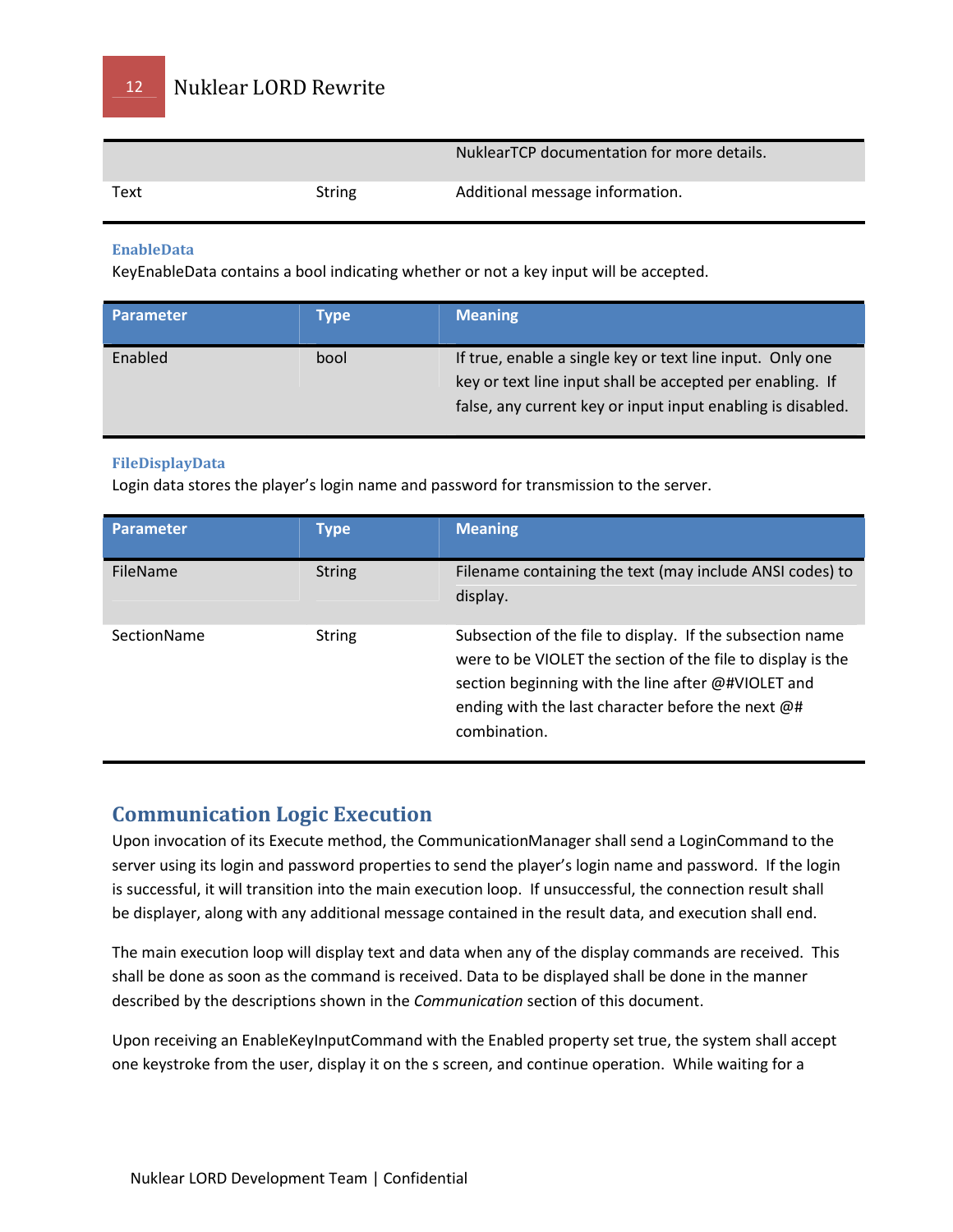|      |        | NuklearTCP documentation for more details. |
|------|--------|--------------------------------------------|
| Text | String | Additional message information.            |

#### EnableData

KeyEnableData contains a bool indicating whether or not a key input will be accepted.

| <b>Parameter</b> | Type | <b>Meaning</b>                                                                                                                                                                        |
|------------------|------|---------------------------------------------------------------------------------------------------------------------------------------------------------------------------------------|
| Enabled          | bool | If true, enable a single key or text line input. Only one<br>key or text line input shall be accepted per enabling. If<br>false, any current key or input input enabling is disabled. |

#### FileDisplayData

Login data stores the player's login name and password for transmission to the server.

| <b>Parameter</b> | <b>Type</b>   | <b>Meaning</b>                                                                                                                                                                                                                                      |
|------------------|---------------|-----------------------------------------------------------------------------------------------------------------------------------------------------------------------------------------------------------------------------------------------------|
| FileName         | <b>String</b> | Filename containing the text (may include ANSI codes) to<br>display.                                                                                                                                                                                |
| SectionName      | <b>String</b> | Subsection of the file to display. If the subsection name<br>were to be VIOLET the section of the file to display is the<br>section beginning with the line after @#VIOLET and<br>ending with the last character before the next @#<br>combination. |

## Communication Logic Execution

Upon invocation of its Execute method, the CommunicationManager shall send a LoginCommand to the server using its login and password properties to send the player's login name and password. If the login is successful, it will transition into the main execution loop. If unsuccessful, the connection result shall be displayer, along with any additional message contained in the result data, and execution shall end.

The main execution loop will display text and data when any of the display commands are received. This shall be done as soon as the command is received. Data to be displayed shall be done in the manner described by the descriptions shown in the Communication section of this document.

Upon receiving an EnableKeyInputCommand with the Enabled property set true, the system shall accept one keystroke from the user, display it on the s screen, and continue operation. While waiting for a